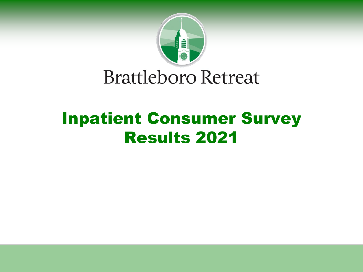

## **Brattleboro Retreat**

## Inpatient Consumer Survey Results 2021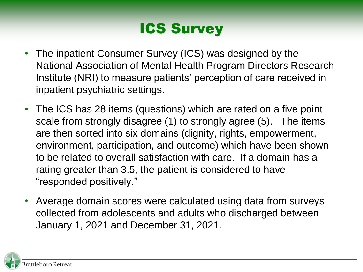## ICS Survey

- The inpatient Consumer Survey (ICS) was designed by the National Association of Mental Health Program Directors Research Institute (NRI) to measure patients' perception of care received in inpatient psychiatric settings.
- The ICS has 28 items (questions) which are rated on a five point scale from strongly disagree (1) to strongly agree (5). The items are then sorted into six domains (dignity, rights, empowerment, environment, participation, and outcome) which have been shown to be related to overall satisfaction with care. If a domain has a rating greater than 3.5, the patient is considered to have "responded positively."
- Average domain scores were calculated using data from surveys collected from adolescents and adults who discharged between January 1, 2021 and December 31, 2021.